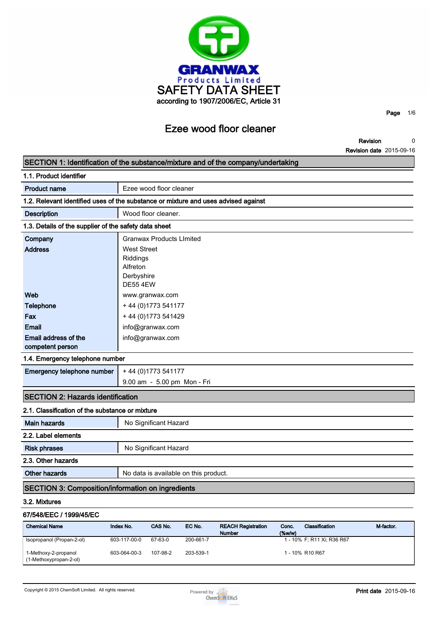

**Revision 0**

**Page 1/6**

**Revision date 2015-09-16**

|                                                                                    |                        |                                 |                                       |                           |        |                            | <b>Revision date</b> 2015-09-16 |
|------------------------------------------------------------------------------------|------------------------|---------------------------------|---------------------------------------|---------------------------|--------|----------------------------|---------------------------------|
| SECTION 1: Identification of the substance/mixture and of the company/undertaking  |                        |                                 |                                       |                           |        |                            |                                 |
| 1.1. Product identifier                                                            |                        |                                 |                                       |                           |        |                            |                                 |
| <b>Product name</b>                                                                |                        | Ezee wood floor cleaner         |                                       |                           |        |                            |                                 |
| 1.2. Relevant identified uses of the substance or mixture and uses advised against |                        |                                 |                                       |                           |        |                            |                                 |
| <b>Description</b>                                                                 |                        | Wood floor cleaner.             |                                       |                           |        |                            |                                 |
| 1.3. Details of the supplier of the safety data sheet                              |                        |                                 |                                       |                           |        |                            |                                 |
| Company                                                                            |                        | <b>Granwax Products LImited</b> |                                       |                           |        |                            |                                 |
| <b>Address</b>                                                                     | <b>West Street</b>     |                                 |                                       |                           |        |                            |                                 |
|                                                                                    | Riddings               |                                 |                                       |                           |        |                            |                                 |
|                                                                                    | Alfreton<br>Derbyshire |                                 |                                       |                           |        |                            |                                 |
|                                                                                    | <b>DE55 4EW</b>        |                                 |                                       |                           |        |                            |                                 |
| Web                                                                                |                        | www.granwax.com                 |                                       |                           |        |                            |                                 |
| <b>Telephone</b>                                                                   |                        | + 44 (0) 1773 541177            |                                       |                           |        |                            |                                 |
| Fax                                                                                |                        | +44 (0) 1773 541429             |                                       |                           |        |                            |                                 |
| Email                                                                              |                        | info@granwax.com                |                                       |                           |        |                            |                                 |
| Email address of the                                                               |                        | info@granwax.com                |                                       |                           |        |                            |                                 |
| competent person                                                                   |                        |                                 |                                       |                           |        |                            |                                 |
| 1.4. Emergency telephone number                                                    |                        |                                 |                                       |                           |        |                            |                                 |
| Emergency telephone number                                                         |                        | + 44 (0) 1773 541177            |                                       |                           |        |                            |                                 |
|                                                                                    |                        |                                 | 9.00 am - 5.00 pm Mon - Fri           |                           |        |                            |                                 |
| <b>SECTION 2: Hazards identification</b>                                           |                        |                                 |                                       |                           |        |                            |                                 |
| 2.1. Classification of the substance or mixture                                    |                        |                                 |                                       |                           |        |                            |                                 |
| <b>Main hazards</b>                                                                |                        | No Significant Hazard           |                                       |                           |        |                            |                                 |
| 2.2. Label elements                                                                |                        |                                 |                                       |                           |        |                            |                                 |
| <b>Risk phrases</b>                                                                |                        | No Significant Hazard           |                                       |                           |        |                            |                                 |
| 2.3. Other hazards                                                                 |                        |                                 |                                       |                           |        |                            |                                 |
| <b>Other hazards</b>                                                               |                        |                                 | No data is available on this product. |                           |        |                            |                                 |
| <b>SECTION 3: Composition/information on ingredients</b>                           |                        |                                 |                                       |                           |        |                            |                                 |
| 3.2. Mixtures                                                                      |                        |                                 |                                       |                           |        |                            |                                 |
| 67/548/EEC / 1999/45/EC                                                            |                        |                                 |                                       |                           |        |                            |                                 |
| <b>Chemical Name</b>                                                               | Index No.              | CAS No.                         | EC No.                                | <b>REACH Registration</b> | Conc.  | Classification             | M-factor.                       |
| Isopropanol (Propan-2-ol)                                                          | 603-117-00-0           | 67-63-0                         | 200-661-7                             | <b>Number</b>             | (%w/w) | 1 - 10% F; R11 Xi; R36 R67 |                                 |
| 1-Methoxy-2-propanol                                                               | 603-064-00-3           | 107-98-2                        | 203-539-1                             |                           |        | 1 - 10% R10 R67            |                                 |

**(1-Methoxypropan-2-ol)**

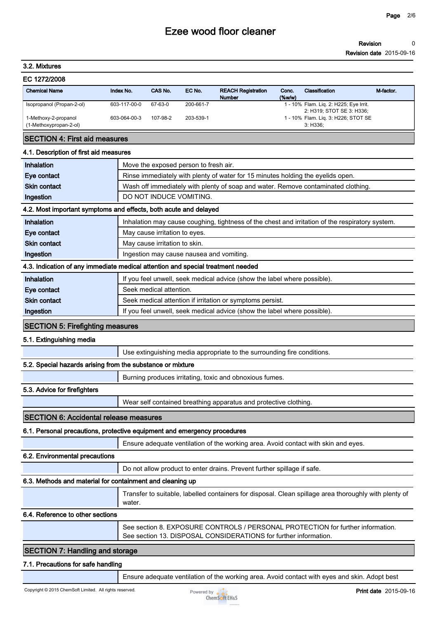#### **Revision 0**

**Revision date 2015-09-16**

# **3.2. Mixtures**

| EC 1272/2008 |  |
|--------------|--|
|--------------|--|

| <b>Chemical Name</b>                           | Index No.    | CAS No.  | EC No.    | <b>REACH Registration</b><br><b>Number</b> | Conc.<br>$(\%w/w)$ | Classification                                                      | M-factor. |
|------------------------------------------------|--------------|----------|-----------|--------------------------------------------|--------------------|---------------------------------------------------------------------|-----------|
| Isopropanol (Propan-2-ol)                      | 603-117-00-0 | 67-63-0  | 200-661-7 |                                            |                    | 1 - 10% Flam. Lig. 2: H225; Eye Irrit.<br>2: H319; STOT SE 3: H336; |           |
| 1-Methoxy-2-propanol<br>(1-Methoxypropan-2-ol) | 603-064-00-3 | 107-98-2 | 203-539-1 |                                            |                    | 1 - 10% Flam. Lig. 3: H226; STOT SE<br>3: H336:                     |           |

## **SECTION 4: First aid measures**

## **4.1. Description of first aid measures**

| <b>Inhalation</b>                       | Move the exposed person to fresh air.                                                           |  |  |
|-----------------------------------------|-------------------------------------------------------------------------------------------------|--|--|
| Eye contact                             | Rinse immediately with plenty of water for 15 minutes holding the eyelids open.                 |  |  |
| <b>Skin contact</b>                     | Wash off immediately with plenty of soap and water. Remove contaminated clothing.               |  |  |
| Ingestion                               | DO NOT INDUCE VOMITING.                                                                         |  |  |
|                                         | 4.2. Most important symptoms and effects, both acute and delayed                                |  |  |
| Inhalation                              | Inhalation may cause coughing, tightness of the chest and irritation of the respiratory system. |  |  |
| Eye contact                             | May cause irritation to eyes.                                                                   |  |  |
| <b>Skin contact</b>                     | May cause irritation to skin.                                                                   |  |  |
| Ingestion                               | Ingestion may cause nausea and vomiting.                                                        |  |  |
|                                         | 4.3. Indication of any immediate medical attention and special treatment needed                 |  |  |
| Inhalation                              | If you feel unwell, seek medical advice (show the label where possible).                        |  |  |
| Eye contact                             | Seek medical attention.                                                                         |  |  |
| <b>Skin contact</b>                     | Seek medical attention if irritation or symptoms persist.                                       |  |  |
| Ingestion                               | If you feel unwell, seek medical advice (show the label where possible).                        |  |  |
| <b>SECTION 5: Firefighting measures</b> |                                                                                                 |  |  |
| - - - - - - - -                         |                                                                                                 |  |  |

#### **5.1. Extinguishing media**

**Use extinguishing media appropriate to the surrounding fire conditions.**

## **5.2. Special hazards arising from the substance or mixture**

**Burning produces irritating, toxic and obnoxious fumes.**

## **5.3. Advice for firefighters**

**Wear self contained breathing apparatus and protective clothing.**

## **SECTION 6: Accidental release measures**

## **6.1. Personal precautions, protective equipment and emergency procedures**

**Ensure adequate ventilation of the working area. Avoid contact with skin and eyes.**

## **6.2. Environmental precautions**

**Do not allow product to enter drains. Prevent further spillage if safe.**

## **6.3. Methods and material for containment and cleaning up**

**Transfer to suitable, labelled containers for disposal. Clean spillage area thoroughly with plenty of water.**

# **6.4. Reference to other sections**

**See section 8. EXPOSURE CONTROLS / PERSONAL PROTECTION for further information. See section 13. DISPOSAL CONSIDERATIONS for further information.**

# **SECTION 7: Handling and storage**

#### **7.1. Precautions for safe handling**

**Ensure adequate ventilation of the working area. Avoid contact with eyes and skin. Adopt best** 

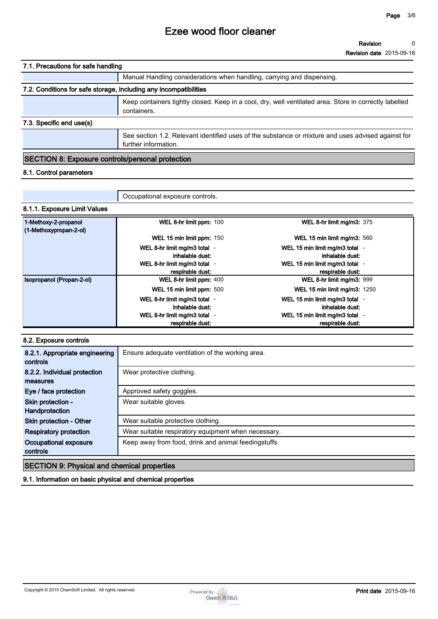| 7.1. Precautions for safe handling                                |                                                                                                                            |  |  |
|-------------------------------------------------------------------|----------------------------------------------------------------------------------------------------------------------------|--|--|
|                                                                   | Manual Handling considerations when handling, carrying and dispensing.                                                     |  |  |
| 7.2. Conditions for safe storage, including any incompatibilities |                                                                                                                            |  |  |
|                                                                   | Keep containers tightly closed. Keep in a cool, dry, well ventilated area. Store in correctly labelled<br>containers.      |  |  |
| 7.3. Specific end use(s)                                          |                                                                                                                            |  |  |
|                                                                   | See section 1.2. Relevant identified uses of the substance or mixture and uses advised against for<br>further information. |  |  |

# **SECTION 8: Exposure controls/personal protection**

# **8.1. Control parameters**

|                                                | Occupational exposure controls.                  |                                                    |  |
|------------------------------------------------|--------------------------------------------------|----------------------------------------------------|--|
| 8.1.1. Exposure Limit Values                   |                                                  |                                                    |  |
| 1-Methoxy-2-propanol<br>(1-Methoxypropan-2-ol) | WEL 8-hr limit ppm: 100                          | WEL 8-hr limit mg/m3: 375                          |  |
|                                                | WEL 15 min limit ppm: 150                        | WEL 15 min limit mg/m3: 560                        |  |
|                                                | WEL 8-hr limit mg/m3 total -<br>inhalable dust:  | WEL 15 min limit mg/m3 total -<br>inhalable dust:  |  |
|                                                | WEL 8-hr limit mg/m3 total -<br>respirable dust: | WEL 15 min limit mg/m3 total -<br>respirable dust: |  |
| Isopropanol (Propan-2-ol)                      | WEL 8-hr limit ppm: 400                          | WEL 8-hr limit mg/m3: 999                          |  |
|                                                | WEL 15 min limit ppm: 500                        | <b>WEL 15 min limit mg/m3: 1250</b>                |  |
|                                                | WEL 8-hr limit mg/m3 total -<br>inhalable dust:  | WEL 15 min limit mg/m3 total -<br>inhalable dust:  |  |
|                                                | WEL 8-hr limit mg/m3 total -<br>respirable dust: | WEL 15 min limit mg/m3 total -<br>respirable dust: |  |

### **8.2. Exposure controls**

| 8.2.1. Appropriate engineering<br>controls  | Ensure adequate ventilation of the working area.     |
|---------------------------------------------|------------------------------------------------------|
| 8.2.2. Individual protection<br>measures    | Wear protective clothing.                            |
| Eye / face protection                       | Approved safety goggles.                             |
| Skin protection -                           | Wear suitable gloves.                                |
| Handprotection                              |                                                      |
| Skin protection - Other                     | Wear suitable protective clothing.                   |
| <b>Respiratory protection</b>               | Wear suitable respiratory equipment when necessary.  |
| Occupational exposure                       | Keep away from food, drink and animal feedingstuffs. |
| controls                                    |                                                      |
| $CCTOMO$ , Dhugical and chamical proportion |                                                      |

# **SECTION 9: Physical and chemical properties**

**9.1. Information on basic physical and chemical properties**

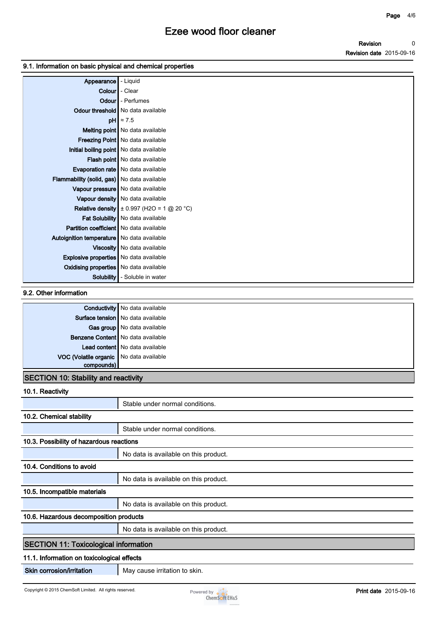### **9.1. Information on basic physical and chemical properties**

| Appearance                                    | - Liquid                                       |
|-----------------------------------------------|------------------------------------------------|
| Colour                                        | - Clear                                        |
|                                               | <b>Odour</b> - Perfumes                        |
|                                               | Odour threshold   No data available            |
|                                               | $pH$ $\approx 7.5$                             |
|                                               | Melting point   No data available              |
|                                               | Freezing Point   No data available             |
| Initial boiling point   No data available     |                                                |
|                                               | Flash point   No data available                |
|                                               | <b>Evaporation rate</b> No data available      |
| Flammability (solid, gas) No data available   |                                                |
|                                               | Vapour pressure   No data available            |
|                                               | Vapour density   No data available             |
|                                               | Relative density $\pm 0.997$ (H2O = 1 @ 20 °C) |
|                                               | Fat Solubility   No data available             |
| Partition coefficient   No data available     |                                                |
| Autoignition temperature   No data available  |                                                |
|                                               | Viscosity   No data available                  |
| Explosive properties   No data available      |                                                |
| <b>Oxidising properties</b> No data available |                                                |
| Solubility                                    | - Soluble in water                             |

# **9.2. Other information**

|                                             | <b>Conductivity</b> No data available |
|---------------------------------------------|---------------------------------------|
|                                             | Surface tension   No data available   |
|                                             | Gas group   No data available         |
|                                             | Benzene Content   No data available   |
|                                             | Lead content No data available        |
| VOC (Volatile organic No data available     |                                       |
| compounds)                                  |                                       |
| <b>SECTION 10: Stability and reactivity</b> |                                       |

#### **10.1. Reactivity**

| 17. 1. 190000111                             |                                       |  |
|----------------------------------------------|---------------------------------------|--|
|                                              | Stable under normal conditions.       |  |
| 10.2. Chemical stability                     |                                       |  |
|                                              | Stable under normal conditions.       |  |
| 10.3. Possibility of hazardous reactions     |                                       |  |
|                                              | No data is available on this product. |  |
| 10.4. Conditions to avoid                    |                                       |  |
|                                              | No data is available on this product. |  |
| 10.5. Incompatible materials                 |                                       |  |
|                                              | No data is available on this product. |  |
| 10.6. Hazardous decomposition products       |                                       |  |
|                                              | No data is available on this product. |  |
| <b>SECTION 11: Toxicological information</b> |                                       |  |
| 11.1. Information on toxicological effects   |                                       |  |
| Skin corrosion/irritation                    | May cause irritation to skin.         |  |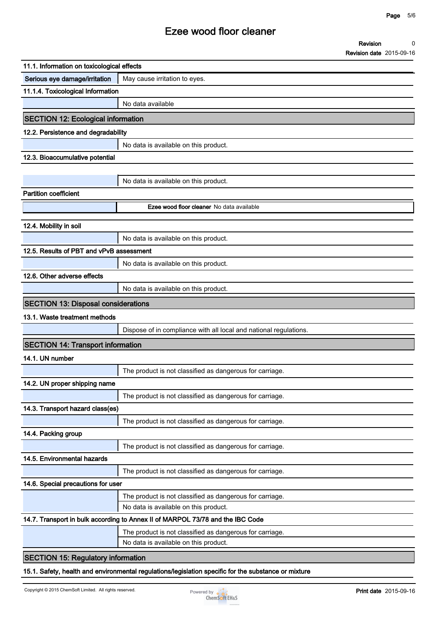**0**

**Revision**

# **Ezee wood floor cleaner**

|                                            | <b>Revision date 2015-09-16</b>                                                |
|--------------------------------------------|--------------------------------------------------------------------------------|
| 11.1. Information on toxicological effects |                                                                                |
| Serious eye damage/irritation              | May cause irritation to eyes.                                                  |
| 11.1.4. Toxicological Information          |                                                                                |
|                                            | No data available                                                              |
| <b>SECTION 12: Ecological information</b>  |                                                                                |
| 12.2. Persistence and degradability        |                                                                                |
|                                            | No data is available on this product.                                          |
| 12.3. Bioaccumulative potential            |                                                                                |
|                                            |                                                                                |
|                                            | No data is available on this product.                                          |
| <b>Partition coefficient</b>               |                                                                                |
|                                            | Ezee wood floor cleaner No data available                                      |
| 12.4. Mobility in soil                     |                                                                                |
|                                            | No data is available on this product.                                          |
| 12.5. Results of PBT and vPvB assessment   |                                                                                |
|                                            | No data is available on this product.                                          |
| 12.6. Other adverse effects                |                                                                                |
|                                            | No data is available on this product.                                          |
| <b>SECTION 13: Disposal considerations</b> |                                                                                |
| 13.1. Waste treatment methods              |                                                                                |
|                                            | Dispose of in compliance with all local and national regulations.              |
| <b>SECTION 14: Transport information</b>   |                                                                                |
| 14.1. UN number                            |                                                                                |
|                                            | The product is not classified as dangerous for carriage.                       |
| 14.2. UN proper shipping name              |                                                                                |
|                                            | The product is not classified as dangerous for carriage.                       |
| 14.3. Transport hazard class(es)           |                                                                                |
|                                            | The product is not classified as dangerous for carriage.                       |
| 14.4. Packing group                        |                                                                                |
|                                            | The product is not classified as dangerous for carriage.                       |
| 14.5. Environmental hazards                |                                                                                |
|                                            | The product is not classified as dangerous for carriage.                       |
| 14.6. Special precautions for user         |                                                                                |
|                                            | The product is not classified as dangerous for carriage.                       |
|                                            | No data is available on this product.                                          |
|                                            | 14.7. Transport in bulk according to Annex II of MARPOL 73/78 and the IBC Code |
|                                            | The product is not classified as dangerous for carriage.                       |
|                                            | No data is available on this product.                                          |
| <b>SECTION 15: Regulatory information</b>  |                                                                                |

**15.1. Safety, health and environmental regulations/legislation specific for the substance or mixture**